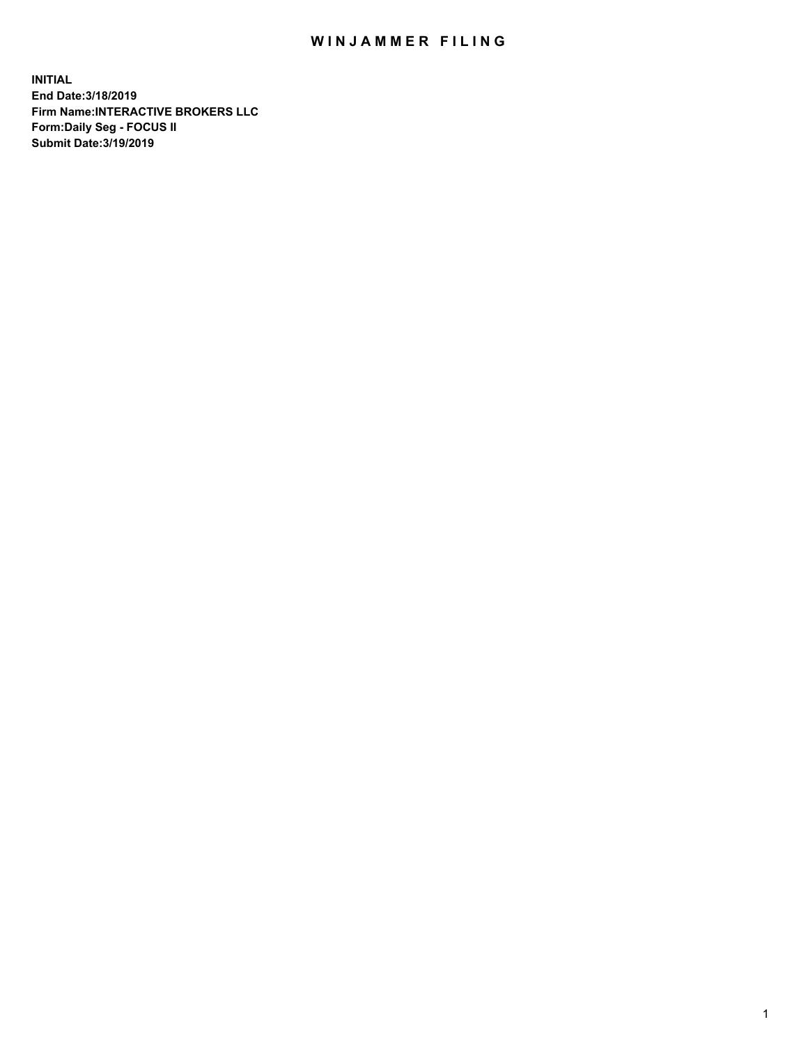## WIN JAMMER FILING

**INITIAL End Date:3/18/2019 Firm Name:INTERACTIVE BROKERS LLC Form:Daily Seg - FOCUS II Submit Date:3/19/2019**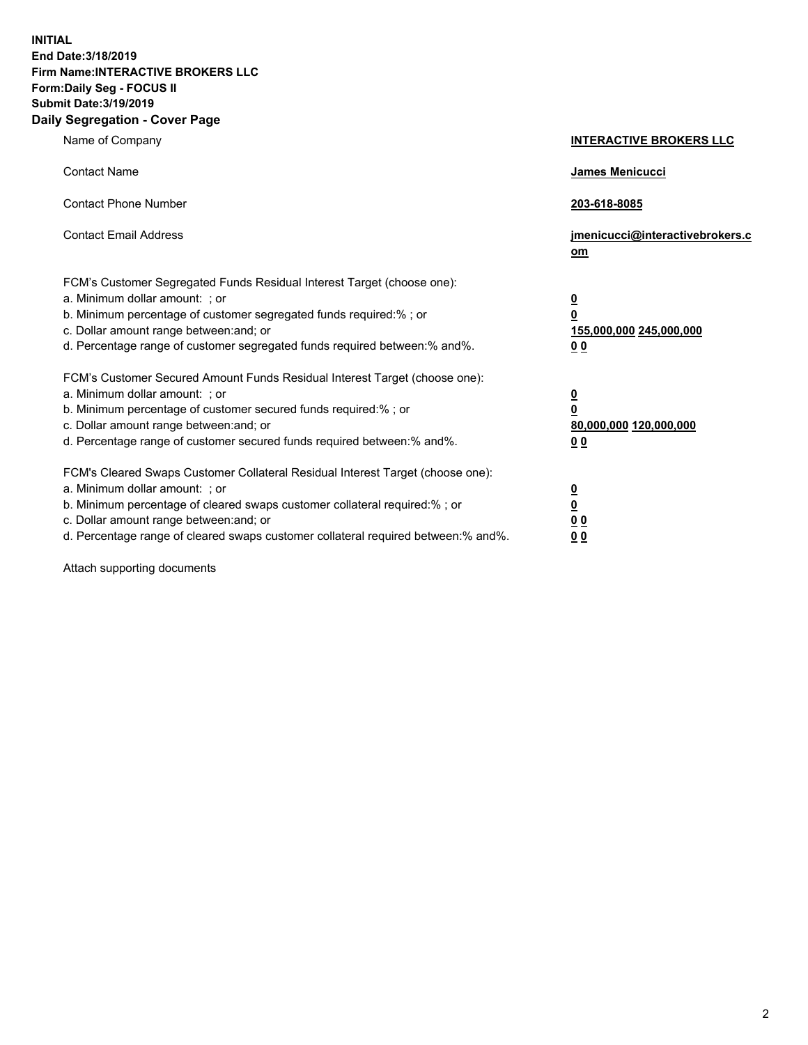**INITIAL End Date:3/18/2019 Firm Name:INTERACTIVE BROKERS LLC Form:Daily Seg - FOCUS II Submit Date:3/19/2019 Daily Segregation - Cover Page**

| Name of Company                                                                                                                                                                                                                                                                                                                | <b>INTERACTIVE BROKERS LLC</b>                                                                  |
|--------------------------------------------------------------------------------------------------------------------------------------------------------------------------------------------------------------------------------------------------------------------------------------------------------------------------------|-------------------------------------------------------------------------------------------------|
| <b>Contact Name</b>                                                                                                                                                                                                                                                                                                            | James Menicucci                                                                                 |
| <b>Contact Phone Number</b>                                                                                                                                                                                                                                                                                                    | 203-618-8085                                                                                    |
| <b>Contact Email Address</b>                                                                                                                                                                                                                                                                                                   | jmenicucci@interactivebrokers.c<br>om                                                           |
| FCM's Customer Segregated Funds Residual Interest Target (choose one):<br>a. Minimum dollar amount: ; or<br>b. Minimum percentage of customer segregated funds required:% ; or<br>c. Dollar amount range between: and; or<br>d. Percentage range of customer segregated funds required between:% and%.                         | $\overline{\mathbf{0}}$<br>$\overline{\mathbf{0}}$<br>155,000,000 245,000,000<br>0 <sub>0</sub> |
| FCM's Customer Secured Amount Funds Residual Interest Target (choose one):<br>a. Minimum dollar amount: ; or<br>b. Minimum percentage of customer secured funds required:% ; or<br>c. Dollar amount range between: and; or<br>d. Percentage range of customer secured funds required between:% and%.                           | $\overline{\mathbf{0}}$<br>0<br>80,000,000 120,000,000<br>0 <sub>0</sub>                        |
| FCM's Cleared Swaps Customer Collateral Residual Interest Target (choose one):<br>a. Minimum dollar amount: ; or<br>b. Minimum percentage of cleared swaps customer collateral required:% ; or<br>c. Dollar amount range between: and; or<br>d. Percentage range of cleared swaps customer collateral required between:% and%. | $\overline{\mathbf{0}}$<br><u>0</u><br>$\underline{0}$ $\underline{0}$<br>00                    |

Attach supporting documents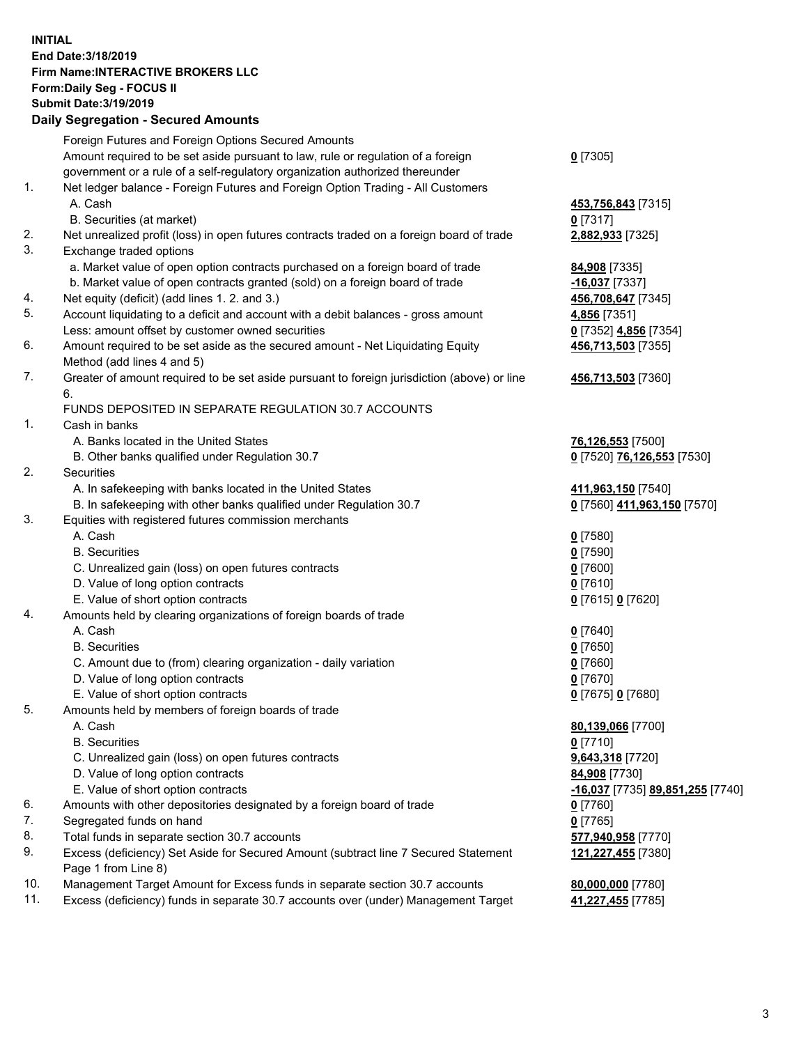## **INITIAL End Date:3/18/2019 Firm Name:INTERACTIVE BROKERS LLC Form:Daily Seg - FOCUS II Submit Date:3/19/2019 Daily Segregation - Secured Amounts**

|                | Dany Segregation - Secured Announts                                                                        |                                                |
|----------------|------------------------------------------------------------------------------------------------------------|------------------------------------------------|
|                | Foreign Futures and Foreign Options Secured Amounts                                                        |                                                |
|                | Amount required to be set aside pursuant to law, rule or regulation of a foreign                           | $0$ [7305]                                     |
|                | government or a rule of a self-regulatory organization authorized thereunder                               |                                                |
| $\mathbf{1}$ . | Net ledger balance - Foreign Futures and Foreign Option Trading - All Customers                            |                                                |
|                | A. Cash                                                                                                    | 453,756,843 [7315]                             |
|                | B. Securities (at market)                                                                                  | $0$ [7317]                                     |
| 2.             | Net unrealized profit (loss) in open futures contracts traded on a foreign board of trade                  | 2,882,933 [7325]                               |
| 3.             | Exchange traded options                                                                                    |                                                |
|                | a. Market value of open option contracts purchased on a foreign board of trade                             | <b>84,908</b> [7335]                           |
|                | b. Market value of open contracts granted (sold) on a foreign board of trade                               | $-16,037$ [7337]                               |
| 4.             | Net equity (deficit) (add lines 1. 2. and 3.)                                                              | 456,708,647 [7345]                             |
| 5.             | Account liquidating to a deficit and account with a debit balances - gross amount                          | 4,856 [7351]                                   |
|                | Less: amount offset by customer owned securities                                                           | 0 [7352] 4,856 [7354]                          |
| 6.             | Amount required to be set aside as the secured amount - Net Liquidating Equity                             | 456,713,503 [7355]                             |
| 7.             | Method (add lines 4 and 5)                                                                                 |                                                |
|                | Greater of amount required to be set aside pursuant to foreign jurisdiction (above) or line<br>6.          | 456,713,503 [7360]                             |
|                | FUNDS DEPOSITED IN SEPARATE REGULATION 30.7 ACCOUNTS                                                       |                                                |
| 1.             | Cash in banks                                                                                              |                                                |
|                | A. Banks located in the United States                                                                      | 76,126,553 [7500]                              |
|                | B. Other banks qualified under Regulation 30.7                                                             | 0 [7520] 76,126,553 [7530]                     |
| 2.             | <b>Securities</b>                                                                                          |                                                |
|                | A. In safekeeping with banks located in the United States                                                  | 411,963,150 [7540]                             |
|                | B. In safekeeping with other banks qualified under Regulation 30.7                                         | 0 [7560] 411,963,150 [7570]                    |
| 3.             | Equities with registered futures commission merchants                                                      |                                                |
|                | A. Cash                                                                                                    | $0$ [7580]                                     |
|                | <b>B.</b> Securities                                                                                       | $0$ [7590]                                     |
|                | C. Unrealized gain (loss) on open futures contracts                                                        | $0$ [7600]                                     |
|                | D. Value of long option contracts                                                                          | $0$ [7610]                                     |
|                | E. Value of short option contracts                                                                         | 0 [7615] 0 [7620]                              |
| 4.             | Amounts held by clearing organizations of foreign boards of trade                                          |                                                |
|                | A. Cash                                                                                                    | $0$ [7640]                                     |
|                | <b>B.</b> Securities                                                                                       | $0$ [7650]                                     |
|                | C. Amount due to (from) clearing organization - daily variation                                            | $0$ [7660]                                     |
|                | D. Value of long option contracts                                                                          | $0$ [7670]                                     |
|                | E. Value of short option contracts                                                                         | 0 [7675] 0 [7680]                              |
| 5.             | Amounts held by members of foreign boards of trade                                                         |                                                |
|                | A. Cash                                                                                                    | 80,139,066 [7700]                              |
|                | <b>B.</b> Securities                                                                                       | $0$ [7710]                                     |
|                | C. Unrealized gain (loss) on open futures contracts                                                        | 9,643,318 [7720]                               |
|                | D. Value of long option contracts                                                                          | 84,908 [7730]                                  |
|                | E. Value of short option contracts                                                                         | <u>-16,037</u> [7735] <u>89,851,255</u> [7740] |
| 6.             | Amounts with other depositories designated by a foreign board of trade                                     | 0 [7760]                                       |
| 7.             | Segregated funds on hand                                                                                   | $0$ [7765]                                     |
| 8.             | Total funds in separate section 30.7 accounts                                                              | 577,940,958 [7770]                             |
| 9.             | Excess (deficiency) Set Aside for Secured Amount (subtract line 7 Secured Statement<br>Page 1 from Line 8) | 121,227,455 [7380]                             |
| 10.            | Management Target Amount for Excess funds in separate section 30.7 accounts                                | 80,000,000 [7780]                              |
| 11.            | Excess (deficiency) funds in separate 30.7 accounts over (under) Management Target                         | 41,227,455 [7785]                              |
|                |                                                                                                            |                                                |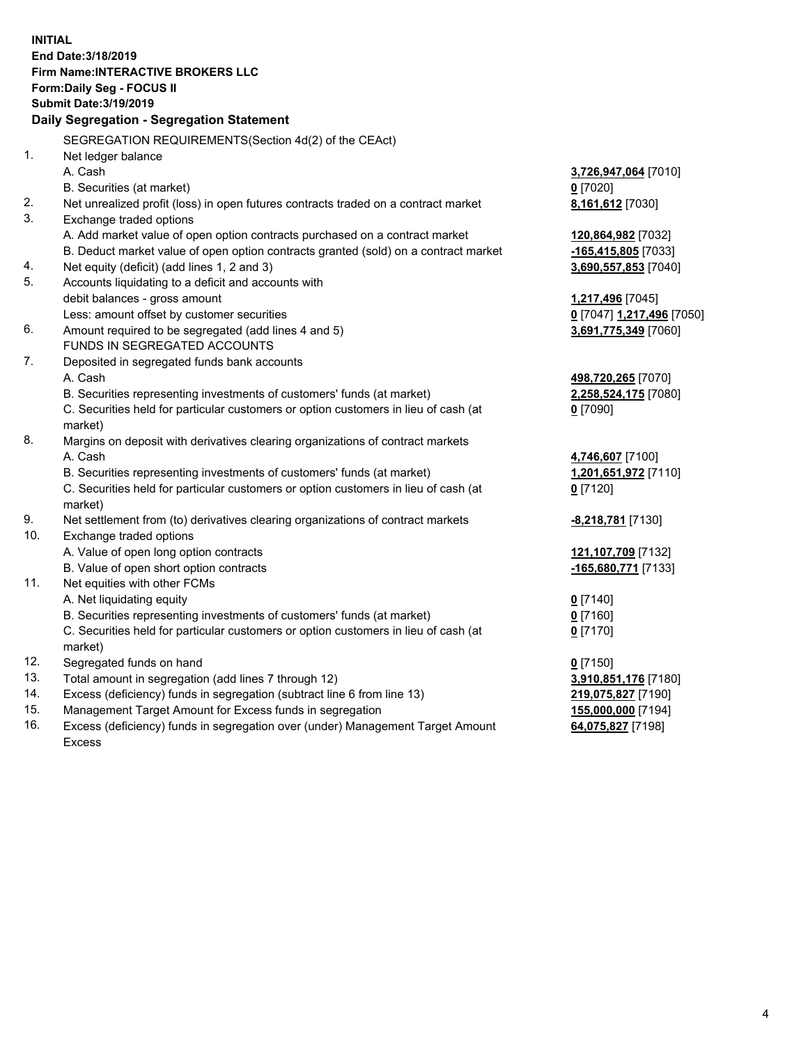**INITIAL End Date:3/18/2019 Firm Name:INTERACTIVE BROKERS LLC Form:Daily Seg - FOCUS II Submit Date:3/19/2019 Daily Segregation - Segregation Statement** SEGREGATION REQUIREMENTS(Section 4d(2) of the CEAct) 1. Net ledger balance A. Cash **3,726,947,064** [7010] B. Securities (at market) **0** [7020] 2. Net unrealized profit (loss) in open futures contracts traded on a contract market **8,161,612** [7030] 3. Exchange traded options A. Add market value of open option contracts purchased on a contract market **120,864,982** [7032] B. Deduct market value of open option contracts granted (sold) on a contract market **-165,415,805** [7033] 4. Net equity (deficit) (add lines 1, 2 and 3) **3,690,557,853** [7040] 5. Accounts liquidating to a deficit and accounts with debit balances - gross amount **1,217,496** [7045] Less: amount offset by customer securities **0** [7047] **1,217,496** [7050] 6. Amount required to be segregated (add lines 4 and 5) **3,691,775,349** [7060] FUNDS IN SEGREGATED ACCOUNTS 7. Deposited in segregated funds bank accounts A. Cash **498,720,265** [7070] B. Securities representing investments of customers' funds (at market) **2,258,524,175** [7080] C. Securities held for particular customers or option customers in lieu of cash (at market) **0** [7090] 8. Margins on deposit with derivatives clearing organizations of contract markets A. Cash **4,746,607** [7100] B. Securities representing investments of customers' funds (at market) **1,201,651,972** [7110] C. Securities held for particular customers or option customers in lieu of cash (at market) **0** [7120] 9. Net settlement from (to) derivatives clearing organizations of contract markets **-8,218,781** [7130] 10. Exchange traded options A. Value of open long option contracts **121,107,709** [7132] B. Value of open short option contracts **-165,680,771** [7133] 11. Net equities with other FCMs A. Net liquidating equity **0** [7140] B. Securities representing investments of customers' funds (at market) **0** [7160] C. Securities held for particular customers or option customers in lieu of cash (at market) **0** [7170] 12. Segregated funds on hand **0** [7150] 13. Total amount in segregation (add lines 7 through 12) **3,910,851,176** [7180] 14. Excess (deficiency) funds in segregation (subtract line 6 from line 13) **219,075,827** [7190] 15. Management Target Amount for Excess funds in segregation **155,000,000** [7194]

16. Excess (deficiency) funds in segregation over (under) Management Target Amount Excess

**64,075,827** [7198]